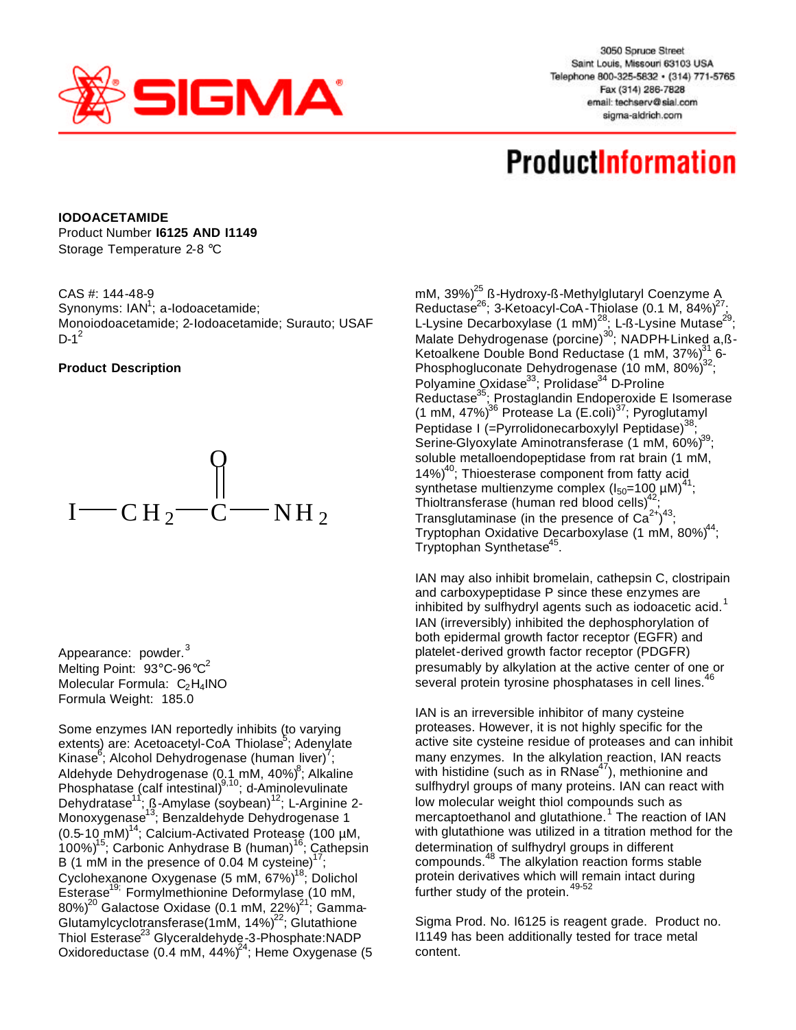

3050 Spruce Street Saint Louis, Missouri 63103 USA Telephone 800-325-5832 · (314) 771-5765 Fax (314) 286-7828 email: techserv@sial.com sigma-aldrich.com

## **ProductInformation**

**IODOACETAMIDE** Product Number **I6125 AND I1149** Storage Temperature 2-8 °C

CAS #: 144-48-9 Synonyms: IAN<sup>1</sup>; a-Iodoacetamide; Monoiodoacetamide; 2-Iodoacetamide; Surauto; USAF  $D-1^2$ 

## **Product Description**



Appearance: powder.<sup>3</sup> Melting Point: 93°C-96°C<sup>2</sup> Molecular Formula:  $C_2H_4NO$ Formula Weight: 185.0

Some enzymes IAN reportedly inhibits (to varying extents) are: Acetoacetyl-CoA Thiolase<sup>5</sup>; Adenylate Kinase<sup>6</sup>; Alcohol Dehydrogenase (human liver)<sup>7</sup>; Aldehyde Dehydrogenase (0.1 mM, 40%)<sup>8</sup>; Alkaline Phosphatase (calf intestinal)<sup>9,10</sup>; d-Aminolevulinate Dehydratase<sup>11</sup>; ß-Amylase (soybean)<sup>12</sup>; L-Arginine 2-Monoxygenase<sup>13</sup>; Benzaldehyde Dehydrogenase 1  $(0.5-10 \text{ mM})^{14}$ ; Calcium-Activated Protease (100 µM, 100%)<sup>15</sup>; Carbonic Anhydrase B (human)<sup>16</sup>; Cathepsin B (1 mM in the presence of 0.04 M cysteine)<sup>17</sup>; Cyclohexanone Oxygenase (5 mM, 67%)<sup>18</sup>; Dolichol Esterase<sup>19;</sup> Formylmethionine Deformylase (10 mM, 80%) $^{20}$  Galactose Oxidase (0.1 mM, 22%) $^{21}\!\!$  Gamma-Glutamylcyclotransferase(1mM,  $14\%$ )<sup>22</sup>; Glutathione Thiol Esterase<sup>23</sup> Glyceraldehyde-3-Phosphate:NADP Oxidoreductase ( $0.4$  mM,  $44\%$ <sup>24</sup>; Heme Oxygenase (5)

mM, 39%) $^{25}$  ß-Hydroxy-ß-Methylglutaryl Coenzyme A Reductase<sup>26</sup>; 3-Ketoacyl-CoA-Thiolase (0.1 M, 84%)<sup>27</sup>; L-Lysine Decarboxylase (1 mM)<sup>28</sup>; L-ß-Lysine Mutase<sup>29</sup>; Malate Dehydrogenase (porcine)<sup>30</sup>; NADPH-Linked a,ß-Ketoalkene Double Bond Reductase (1 mM, 37%) $^{31}$  6-Phosphogluconate Dehydrogenase (10 mM, 80%) $^{32}$ ; Polyamine Oxidase<sup>33</sup>; Prolidase<sup>34</sup> D-Proline Reductase<sup>35</sup>; Prostaglandin Endoperoxide E Isomerase (1 mM, 47%)<sup>36</sup> Protease La (E.coli)<sup>37</sup>; Pyroglutamyl Peptidase I (=Pyrrolidonecarboxylyl Peptidase)<sup>38</sup>; Serine-Glyoxylate Aminotransferase (1 mM, 60%)<sup>39</sup>; soluble metalloendopeptidase from rat brain (1 mM, 14%)<sup>40</sup>; Thioesterase component from fatty acid synthetase multienzyme complex  $(I_{50} = 100 \mu M)^{41}$ ; Thioltransferase (human red blood cells)<sup>42</sup> ; Transglutaminase (in the presence of  $Ca^{2+}$ )<sup>43</sup>; Tryptophan Oxidative Decarboxylase (1 mM, 80%)<sup>44</sup>; Tryptophan Synthetase<sup>45</sup>.

IAN may also inhibit bromelain, cathepsin C, clostripain and carboxypeptidase P since these enzymes are inhibited by sulfhydryl agents such as iodoacetic acid. $1$ IAN (irreversibly) inhibited the dephosphorylation of both epidermal growth factor receptor (EGFR) and platelet-derived growth factor receptor (PDGFR) presumably by alkylation at the active center of one or several protein tyrosine phosphatases in cell lines.<sup>4</sup>

IAN is an irreversible inhibitor of many cysteine proteases. However, it is not highly specific for the active site cysteine residue of proteases and can inhibit many enzymes. In the alkylation reaction, IAN reacts with histidine (such as in  $\overline{RN}$ ase<sup>47</sup>), methionine and sulfhydryl groups of many proteins. IAN can react with low molecular weight thiol compounds such as mercaptoethanol and glutathione.<sup>1</sup> The reaction of IAN with glutathione was utilized in a titration method for the determination of sulfhydryl groups in different compounds.<sup>48</sup> The alkylation reaction forms stable protein derivatives which will remain intact during .<br>further study of the protein.<sup>49-52</sup>

Sigma Prod. No. I6125 is reagent grade. Product no. I1149 has been additionally tested for trace metal content.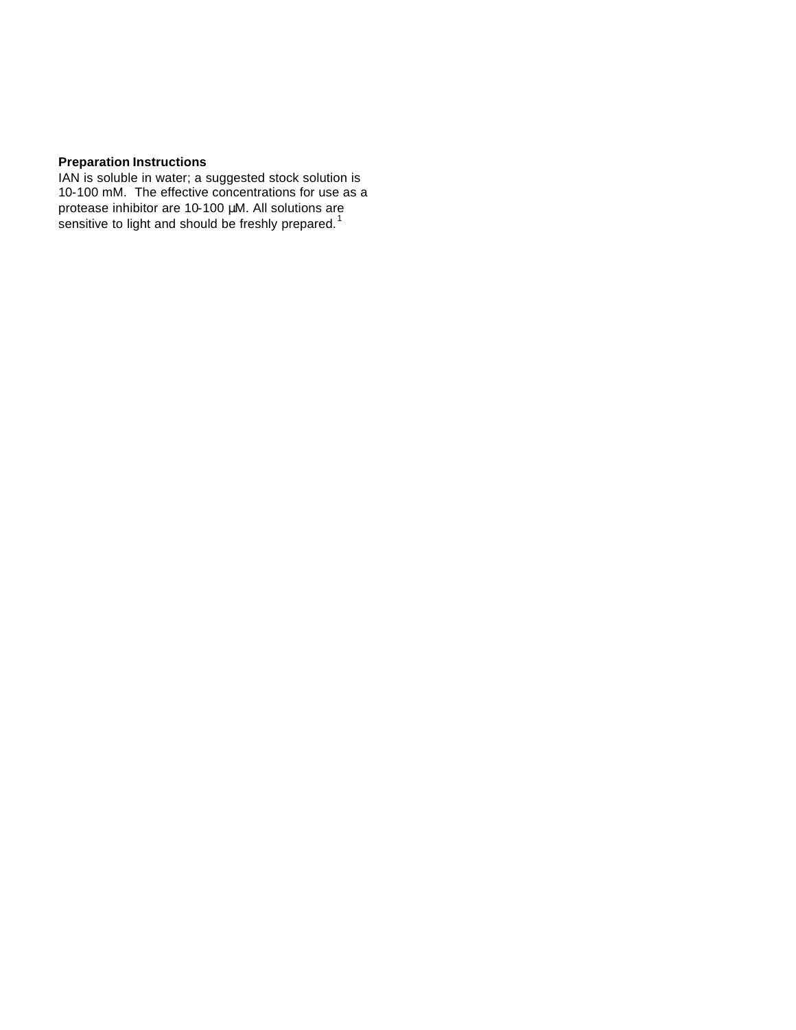## **Preparation Instructions**

IAN is soluble in water; a suggested stock solution is 10-100 mM. The effective concentrations for use as a protease inhibitor are 10-100 μM. All solutions are sensitive to light and should be freshly prepared.<sup>1</sup>